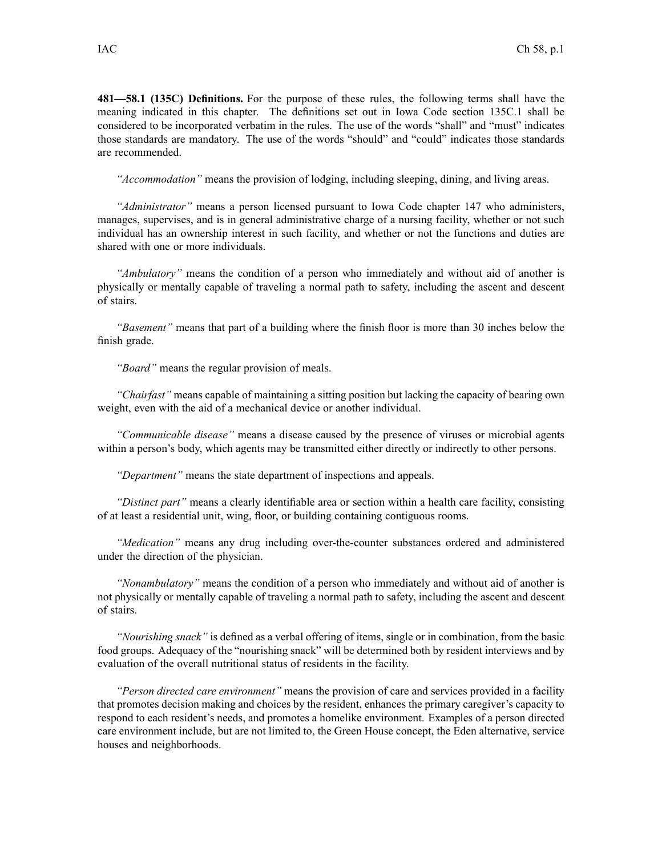**481—58.1 (135C) Definitions.** For the purpose of these rules, the following terms shall have the meaning indicated in this chapter. The definitions set out in Iowa Code section [135C.1](https://www.legis.iowa.gov/docs/ico/section/135C.1.pdf) shall be considered to be incorporated verbatim in the rules. The use of the words "shall" and "must" indicates those standards are mandatory. The use of the words "should" and "could" indicates those standards are recommended.

*"Accommodation"* means the provision of lodging, including sleeping, dining, and living areas.

*"Administrator"* means <sup>a</sup> person licensed pursuan<sup>t</sup> to Iowa Code chapter [147](https://www.legis.iowa.gov/docs/ico/chapter/147.pdf) who administers, manages, supervises, and is in general administrative charge of <sup>a</sup> nursing facility, whether or not such individual has an ownership interest in such facility, and whether or not the functions and duties are shared with one or more individuals.

*"Ambulatory"* means the condition of <sup>a</sup> person who immediately and without aid of another is physically or mentally capable of traveling <sup>a</sup> normal path to safety, including the ascent and descent of stairs.

*"Basement"* means that par<sup>t</sup> of <sup>a</sup> building where the finish floor is more than 30 inches below the finish grade.

*"Board"* means the regular provision of meals.

*"Chairfast"* means capable of maintaining <sup>a</sup> sitting position but lacking the capacity of bearing own weight, even with the aid of <sup>a</sup> mechanical device or another individual.

*"Communicable disease"* means <sup>a</sup> disease caused by the presence of viruses or microbial agents within <sup>a</sup> person's body, which agents may be transmitted either directly or indirectly to other persons.

*"Department"* means the state department of inspections and appeals.

*"Distinct part"* means <sup>a</sup> clearly identifiable area or section within <sup>a</sup> health care facility, consisting of at least <sup>a</sup> residential unit, wing, floor, or building containing contiguous rooms.

*"Medication"* means any drug including over-the-counter substances ordered and administered under the direction of the physician.

*"Nonambulatory"* means the condition of <sup>a</sup> person who immediately and without aid of another is not physically or mentally capable of traveling <sup>a</sup> normal path to safety, including the ascent and descent of stairs.

*"Nourishing snack"* is defined as <sup>a</sup> verbal offering of items, single or in combination, from the basic food groups. Adequacy of the "nourishing snack" will be determined both by resident interviews and by evaluation of the overall nutritional status of residents in the facility.

*"Person directed care environment"* means the provision of care and services provided in <sup>a</sup> facility that promotes decision making and choices by the resident, enhances the primary caregiver's capacity to respond to each resident's needs, and promotes <sup>a</sup> homelike environment. Examples of <sup>a</sup> person directed care environment include, but are not limited to, the Green House concept, the Eden alternative, service houses and neighborhoods.